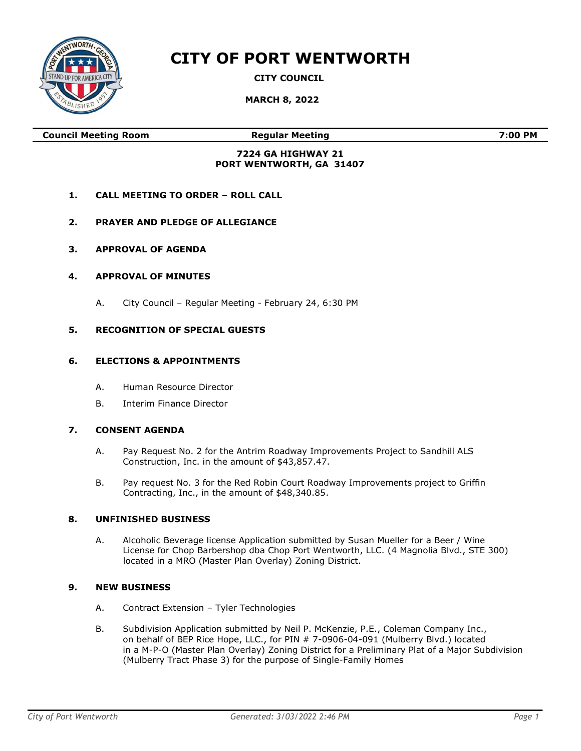

# CITY OF PORT WENTWORTH

CITY COUNCIL

MARCH 8, 2022

Council Meeting Room Regular Meeting 7:00 PM

#### 7224 GA HIGHWAY 21 PORT WENTWORTH, GA 31407

- 1. CALL MEETING TO ORDER ROLL CALL
- 2. PRAYER AND PLEDGE OF ALLEGIANCE
- 3. APPROVAL OF AGENDA

## 4. APPROVAL OF MINUTES

A. City Council – Regular Meeting - February 24, 6:30 PM

## 5. RECOGNITION OF SPECIAL GUESTS

#### 6. ELECTIONS & APPOINTMENTS

- A. Human Resource Director
- B. Interim Finance Director

#### 7. CONSENT AGENDA

- A. Pay Request No. 2 for the Antrim Roadway Improvements Project to Sandhill ALS Construction, Inc. in the amount of \$43,857.47.
- B. Pay request No. 3 for the Red Robin Court Roadway Improvements project to Griffin Contracting, Inc., in the amount of \$48,340.85.

#### 8. UNFINISHED BUSINESS

A. Alcoholic Beverage license Application submitted by Susan Mueller for a Beer / Wine License for Chop Barbershop dba Chop Port Wentworth, LLC. (4 Magnolia Blvd., STE 300) located in a MRO (Master Plan Overlay) Zoning District.

#### 9. NEW BUSINESS

- A. Contract Extension Tyler Technologies
- B. Subdivision Application submitted by Neil P. McKenzie, P.E., Coleman Company Inc., on behalf of BEP Rice Hope, LLC., for PIN # 7-0906-04-091 (Mulberry Blvd.) located in a M-P-O (Master Plan Overlay) Zoning District for a Preliminary Plat of a Major Subdivision (Mulberry Tract Phase 3) for the purpose of Single-Family Homes